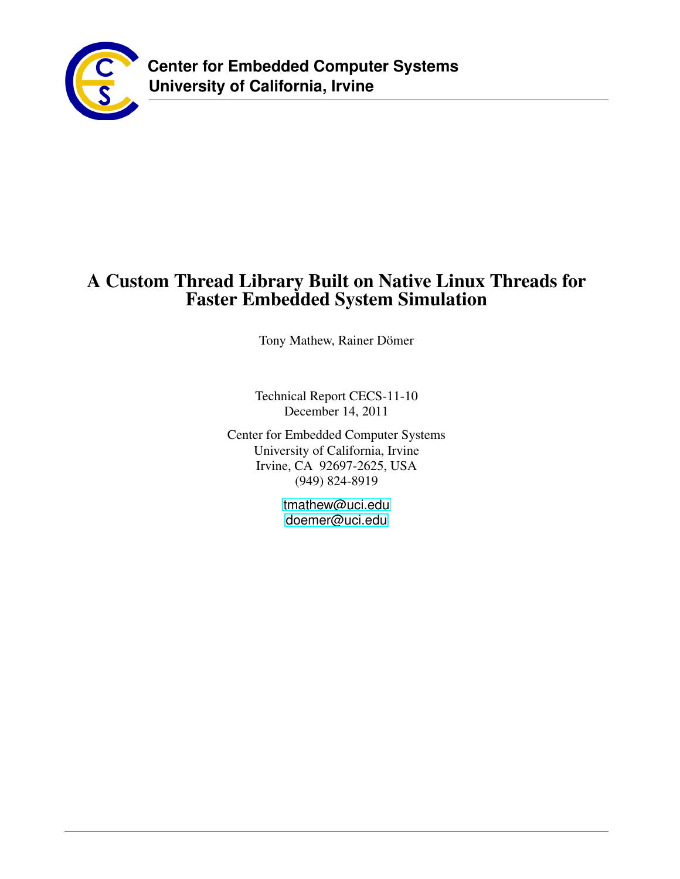<span id="page-0-0"></span>

# A Custom Thread Library Built on Native Linux Threads for Faster Embedded System Simulation

Tony Mathew, Rainer Dömer

Technical Report CECS-11-10 December 14, 2011

Center for Embedded Computer Systems University of California, Irvine Irvine, CA 92697-2625, USA (949) 824-8919

> <tmathew@uci.edu> <doemer@uci.edu>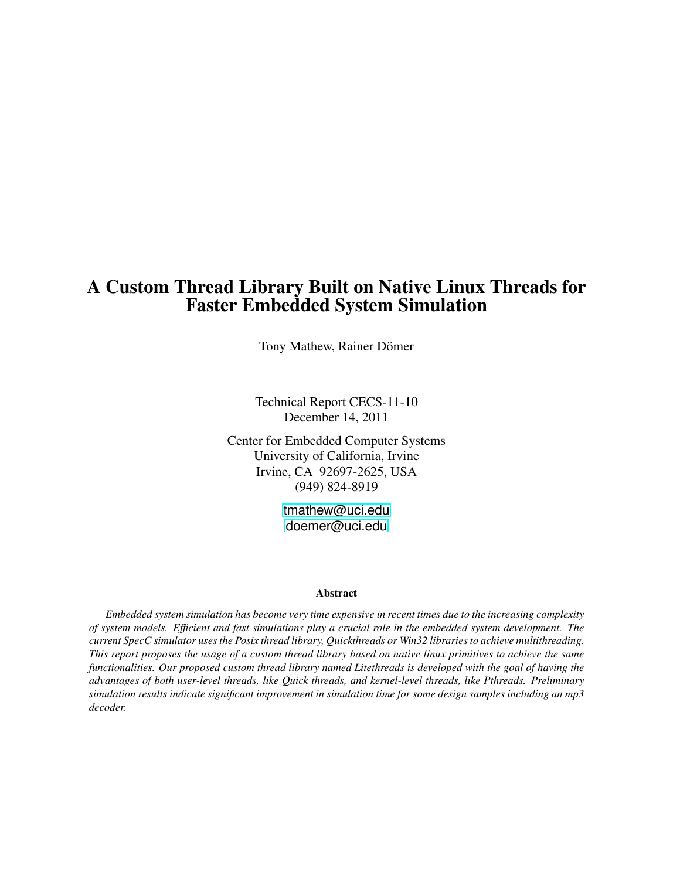## A Custom Thread Library Built on Native Linux Threads for Faster Embedded System Simulation

Tony Mathew, Rainer Dömer

Technical Report CECS-11-10 December 14, 2011

Center for Embedded Computer Systems University of California, Irvine Irvine, CA 92697-2625, USA (949) 824-8919

> <tmathew@uci.edu> <doemer@uci.edu>

#### Abstract

*Embedded system simulation has become very time expensive in recent times due to the increasing complexity of system models. Efficient and fast simulations play a crucial role in the embedded system development. The current SpecC simulator uses the Posix thread library, Quickthreads or Win32 libraries to achieve multithreading. This report proposes the usage of a custom thread library based on native linux primitives to achieve the same functionalities. Our proposed custom thread library named Litethreads is developed with the goal of having the advantages of both user-level threads, like Quick threads, and kernel-level threads, like Pthreads. Preliminary simulation results indicate significant improvement in simulation time for some design samples including an mp3 decoder.*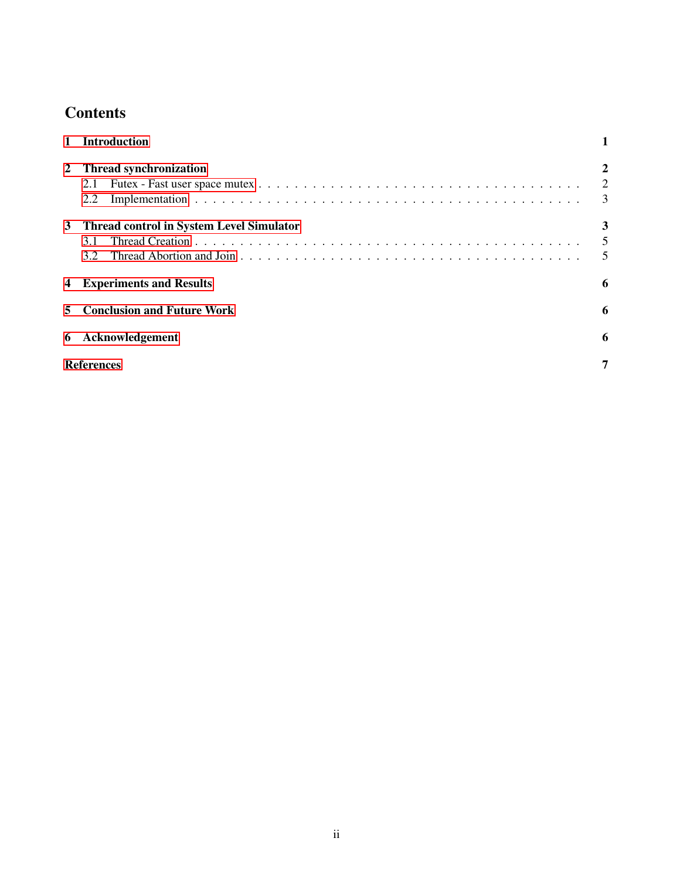# **Contents**

| $\mathbf{1}$ | <b>Introduction</b>                                           |                          |
|--------------|---------------------------------------------------------------|--------------------------|
| $\mathbf{2}$ | <b>Thread synchronization</b><br>2.1<br>2.2                   | 2<br>2<br>$\overline{3}$ |
| 3            | <b>Thread control in System Level Simulator</b><br>3.1<br>3.2 | 3<br>$\overline{5}$      |
| 4            | <b>Experiments and Results</b>                                | 6                        |
| 5            | <b>Conclusion and Future Work</b>                             | 6                        |
|              | 6 Acknowledgement                                             | 6                        |
|              | <b>References</b>                                             | 7                        |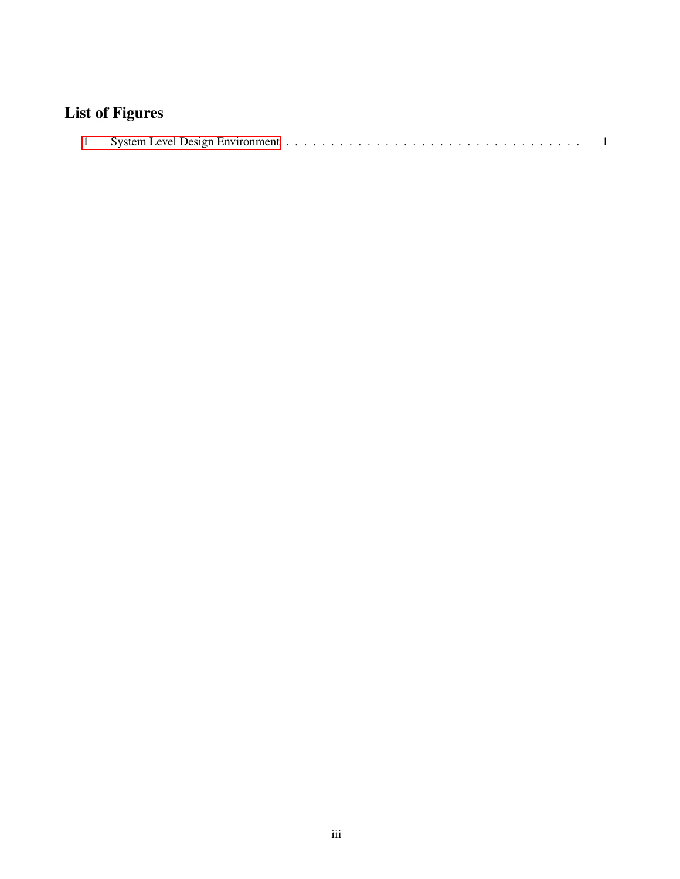# List of Figures

|--|--|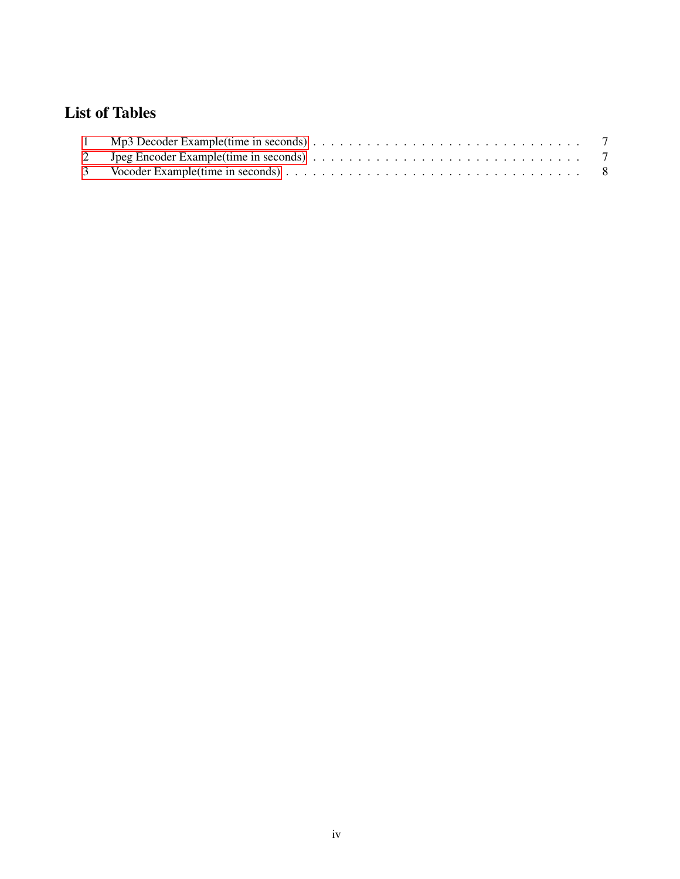## List of Tables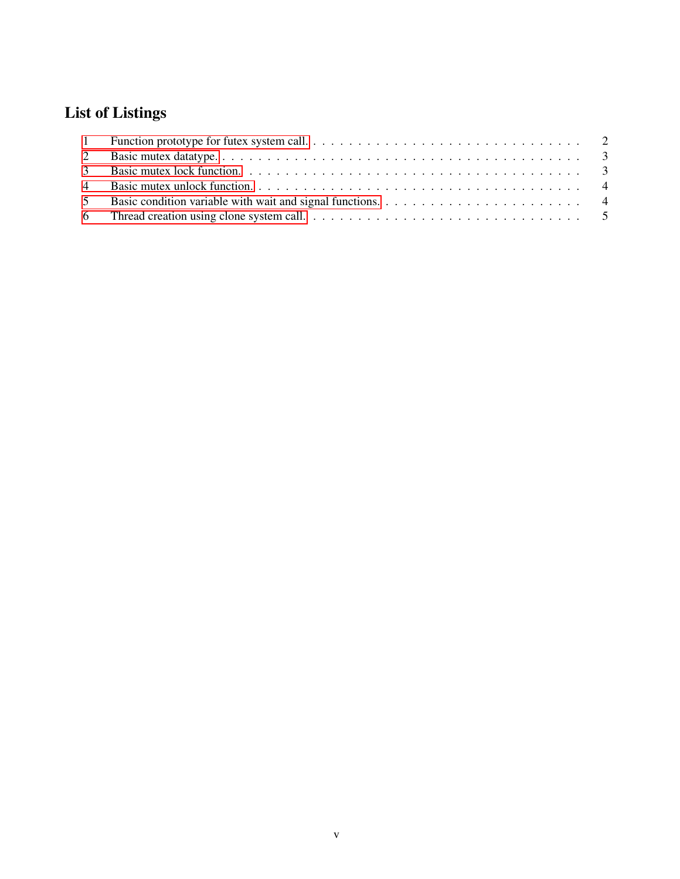# List of Listings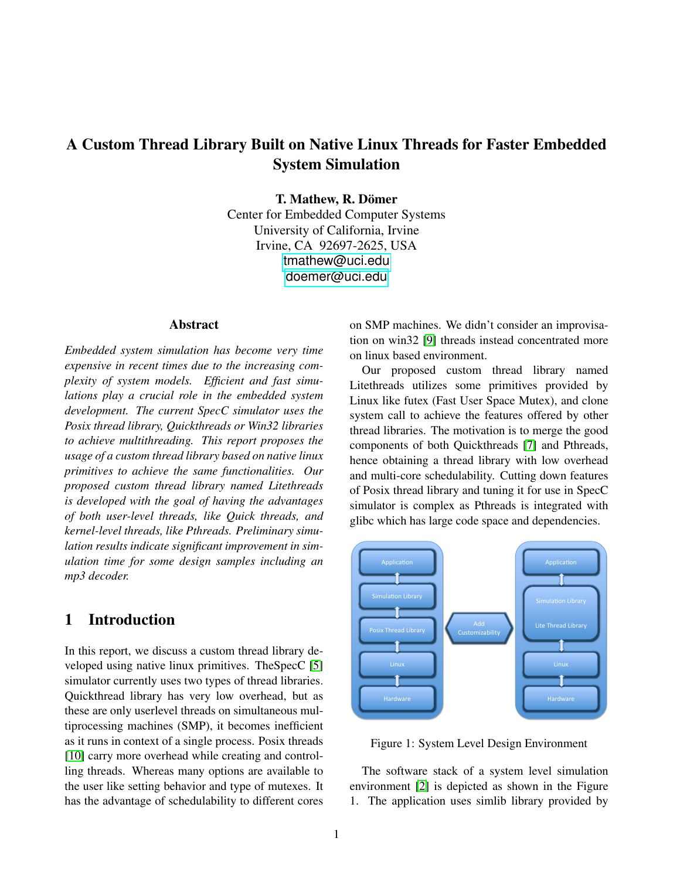## A Custom Thread Library Built on Native Linux Threads for Faster Embedded System Simulation

T. Mathew, R. Dömer

Center for Embedded Computer Systems University of California, Irvine Irvine, CA 92697-2625, USA <tmathew@uci.edu> <doemer@uci.edu>

#### Abstract

*Embedded system simulation has become very time expensive in recent times due to the increasing complexity of system models. Efficient and fast simulations play a crucial role in the embedded system development. The current SpecC simulator uses the Posix thread library, Quickthreads or Win32 libraries to achieve multithreading. This report proposes the usage of a custom thread library based on native linux primitives to achieve the same functionalities. Our proposed custom thread library named Litethreads is developed with the goal of having the advantages of both user-level threads, like Quick threads, and kernel-level threads, like Pthreads. Preliminary simulation results indicate significant improvement in simulation time for some design samples including an mp3 decoder.*

#### <span id="page-6-0"></span>1 Introduction

In this report, we discuss a custom thread library developed using native linux primitives. TheSpecC [\[5\]](#page-12-1) simulator currently uses two types of thread libraries. Quickthread library has very low overhead, but as these are only userlevel threads on simultaneous multiprocessing machines (SMP), it becomes inefficient as it runs in context of a single process. Posix threads [\[10\]](#page-13-0) carry more overhead while creating and controlling threads. Whereas many options are available to the user like setting behavior and type of mutexes. It has the advantage of schedulability to different cores

on SMP machines. We didn't consider an improvisation on win32 [\[9\]](#page-12-2) threads instead concentrated more on linux based environment.

Our proposed custom thread library named Litethreads utilizes some primitives provided by Linux like futex (Fast User Space Mutex), and clone system call to achieve the features offered by other thread libraries. The motivation is to merge the good components of both Quickthreads [\[7\]](#page-12-3) and Pthreads, hence obtaining a thread library with low overhead and multi-core schedulability. Cutting down features of Posix thread library and tuning it for use in SpecC simulator is complex as Pthreads is integrated with glibc which has large code space and dependencies.



Figure 1: System Level Design Environment

The software stack of a system level simulation environment [\[2\]](#page-12-4) is depicted as shown in the Figure 1. The application uses simlib library provided by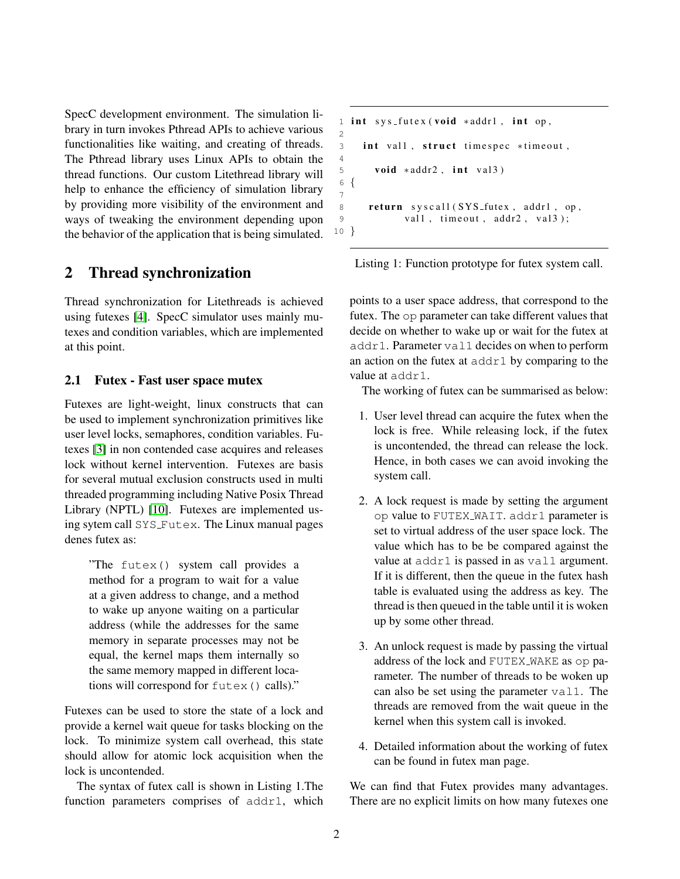SpecC development environment. The simulation library in turn invokes Pthread APIs to achieve various functionalities like waiting, and creating of threads. The Pthread library uses Linux APIs to obtain the thread functions. Our custom Litethread library will help to enhance the efficiency of simulation library by providing more visibility of the environment and ways of tweaking the environment depending upon the behavior of the application that is being simulated.

### <span id="page-7-0"></span>2 Thread synchronization

Thread synchronization for Litethreads is achieved using futexes [\[4\]](#page-12-5). SpecC simulator uses mainly mutexes and condition variables, which are implemented at this point.

#### <span id="page-7-1"></span>2.1 Futex - Fast user space mutex

Futexes are light-weight, linux constructs that can be used to implement synchronization primitives like user level locks, semaphores, condition variables. Futexes [\[3\]](#page-12-6) in non contended case acquires and releases lock without kernel intervention. Futexes are basis for several mutual exclusion constructs used in multi threaded programming including Native Posix Thread Library (NPTL) [\[10\]](#page-13-0). Futexes are implemented using sytem call SYS Futex. The Linux manual pages denes futex as:

"The futex() system call provides a method for a program to wait for a value at a given address to change, and a method to wake up anyone waiting on a particular address (while the addresses for the same memory in separate processes may not be equal, the kernel maps them internally so the same memory mapped in different locations will correspond for futex() calls)."

Futexes can be used to store the state of a lock and provide a kernel wait queue for tasks blocking on the lock. To minimize system call overhead, this state should allow for atomic lock acquisition when the lock is uncontended.

The syntax of futex call is shown in Listing 1.The function parameters comprises of addr1, which

```
1 int sys_futex(void *addr1, int op,
\overline{2}3 int val1, struct timespec *timeout,
4
5 void *addr2, int val 3)
6 {
7
8 return syscall (SYS_futex, addr1, op,
9 vall, timeout, addr2, val3);
10 }
```
Listing 1: Function prototype for futex system call.

points to a user space address, that correspond to the futex. The op parameter can take different values that decide on whether to wake up or wait for the futex at addr1. Parameter val1 decides on when to perform an action on the futex at addr1 by comparing to the value at addr1.

The working of futex can be summarised as below:

- 1. User level thread can acquire the futex when the lock is free. While releasing lock, if the futex is uncontended, the thread can release the lock. Hence, in both cases we can avoid invoking the system call.
- 2. A lock request is made by setting the argument op value to FUTEX WAIT. addr1 parameter is set to virtual address of the user space lock. The value which has to be be compared against the value at addr1 is passed in as val1 argument. If it is different, then the queue in the futex hash table is evaluated using the address as key. The thread is then queued in the table until it is woken up by some other thread.
- 3. An unlock request is made by passing the virtual address of the lock and FUTEX WAKE as op parameter. The number of threads to be woken up can also be set using the parameter val1. The threads are removed from the wait queue in the kernel when this system call is invoked.
- 4. Detailed information about the working of futex can be found in futex man page.

We can find that Futex provides many advantages. There are no explicit limits on how many futexes one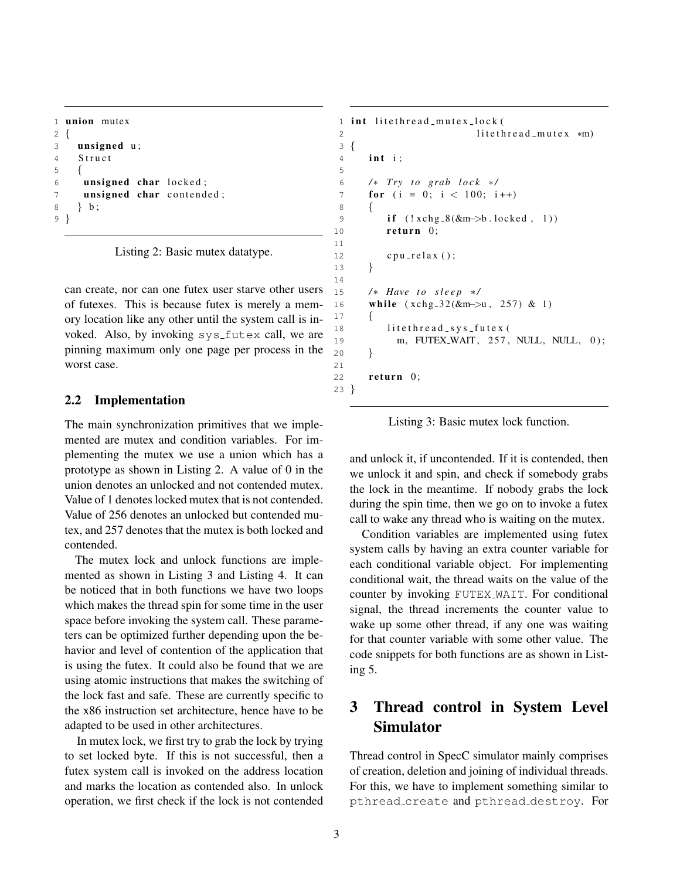```
1 union mutex
2 {
3 unsigned u;
4 Struct
5 {
6 unsigned char locked;
7 unsigned char contended;
8 } b ;
9 }
```
<span id="page-8-2"></span>Listing 2: Basic mutex datatype.

can create, nor can one futex user starve other users of futexes. This is because futex is merely a memory location like any other until the system call is invoked. Also, by invoking sys\_futex call, we are pinning maximum only one page per process in the worst case.

#### <span id="page-8-0"></span>2.2 Implementation

The main synchronization primitives that we implemented are mutex and condition variables. For implementing the mutex we use a union which has a prototype as shown in Listing 2. A value of 0 in the union denotes an unlocked and not contended mutex. Value of 1 denotes locked mutex that is not contended. Value of 256 denotes an unlocked but contended mutex, and 257 denotes that the mutex is both locked and contended.

The mutex lock and unlock functions are implemented as shown in Listing 3 and Listing 4. It can be noticed that in both functions we have two loops which makes the thread spin for some time in the user space before invoking the system call. These parameters can be optimized further depending upon the behavior and level of contention of the application that is using the futex. It could also be found that we are using atomic instructions that makes the switching of the lock fast and safe. These are currently specific to the x86 instruction set architecture, hence have to be adapted to be used in other architectures.

In mutex lock, we first try to grab the lock by trying to set locked byte. If this is not successful, then a futex system call is invoked on the address location and marks the location as contended also. In unlock operation, we first check if the lock is not contended

```
1 int litethread_mutex_lock(
2 litethread_mutex *m)
3 {
4 int i;
6 / ∗ T ry t o g r a b l o c k ∗ /
7 for (i = 0; i < 100; i + j8 {
9 if (!xchg_8(&m->b.locked, 1))10 return 0;
12 c pu _ r e l a x ();
13 }
15 /* Have to sleep */
16 while (xchg_32(&m–>u, 257) & 1)
17 {
18 litethread_sys_futex(
19 m, FUTEX_WAIT, 257, NULL, NULL, 0);
20 }
22 return 0;
23 }
```
Listing 3: Basic mutex lock function.

and unlock it, if uncontended. If it is contended, then we unlock it and spin, and check if somebody grabs the lock in the meantime. If nobody grabs the lock during the spin time, then we go on to invoke a futex call to wake any thread who is waiting on the mutex.

Condition variables are implemented using futex system calls by having an extra counter variable for each conditional variable object. For implementing conditional wait, the thread waits on the value of the counter by invoking FUTEX WAIT. For conditional signal, the thread increments the counter value to wake up some other thread, if any one was waiting for that counter variable with some other value. The code snippets for both functions are as shown in Listing 5.

## <span id="page-8-1"></span>3 Thread control in System Level Simulator

Thread control in SpecC simulator mainly comprises of creation, deletion and joining of individual threads. For this, we have to implement something similar to pthread create and pthread destroy. For

5

11

14

<span id="page-8-3"></span>21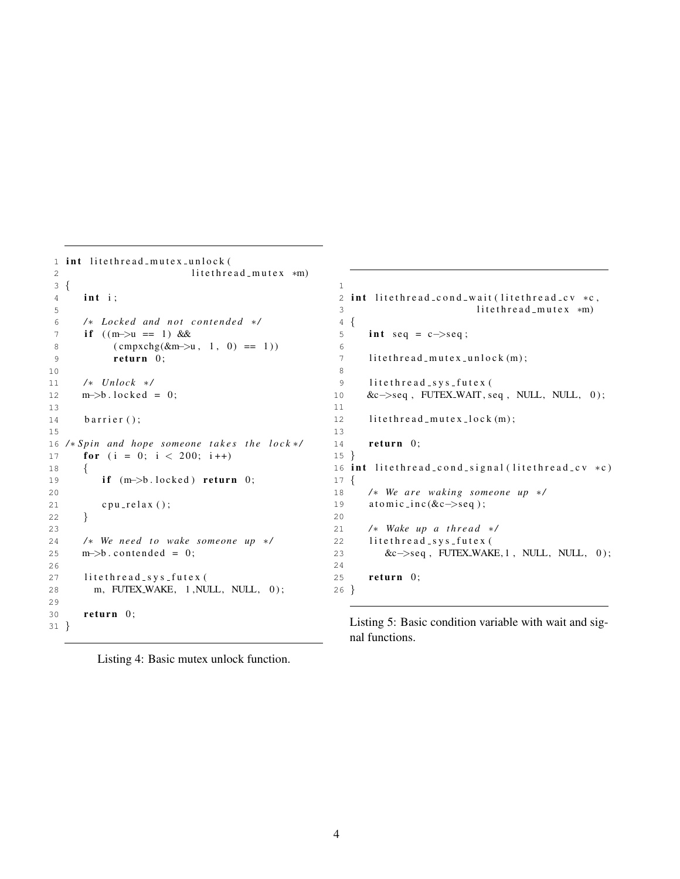```
1 int litethread_mutex_unlock(
2 litethread_mutex *m)
3 {
4 int i;
5
6 / ∗ L ocke d and n ot c o nt e n d e d ∗ /
7 if ((m \rightarrow u == 1) \&&8 ( cmpxchg (&m−>u, 1, 0) == 1))
9 return 0;
10
11 / ∗ U nl ock ∗ /
12 m \rightarrow b. locked = 0;
13
14 barrier ();
15
16 /* Spin and hope someone takes the lock */
17 for (i = 0; i < 200; i + 1)
18 {
19 if (m–>b.locked) return 0;
20
21 c pu _ r e l a x ();
22 }
23
24 /* We need to wake someone up */
25 \qquad m \rightarrow b \text{. contended} = 0;26
27 litethread_sys_futex(
28 m, FUTEX_WAKE, 1, NULL, NULL, 0);
29
30 return 0;
31 }
                                                1
                                                2 int litethread_cond_wait (litethread_cv *c,
                                                3 litethread_mutex *m)
                                                4 {
                                                5 int seq = c\rightarrowseq;
                                                6
                                                7 litethread_mutex_unlock(m);8
                                                9 litethread_sys_futex(
                                               10 &c−>seq , FUTEX WAIT , seq , NULL, NULL, 0 ) ;
                                               11
                                               12 litethread_mutex_lock(m);13
                                               14 return 0;
                                               15 }
                                               16 int litethread_cond_signal (litethread_cv *c)
                                               17 {
                                               18 /* We are waking someone up */
                                               19 a tomic_inc(&c->seq);
                                               20
                                               21 /* Wake up a thread */
                                               22 litethread_sys_futex(
                                               23 &c−>seq, FUTEX_WAKE, 1, NULL, NULL, 0);
                                               24
                                               25 return 0;
                                               26 }
```
<span id="page-9-0"></span>Listing 4: Basic mutex unlock function.

<span id="page-9-1"></span>Listing 5: Basic condition variable with wait and signal functions.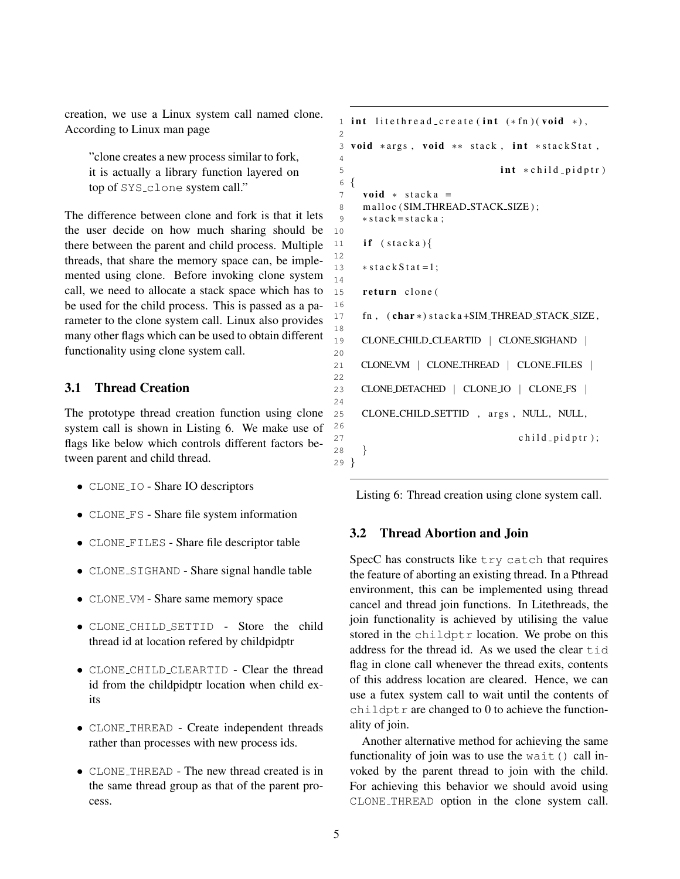creation, we use a Linux system call named clone. According to Linux man page

"clone creates a new process similar to fork, it is actually a library function layered on top of SYS\_clone system call."

The difference between clone and fork is that it lets the user decide on how much sharing should be there between the parent and child process. Multiple threads, that share the memory space can, be implemented using clone. Before invoking clone system call, we need to allocate a stack space which has to be used for the child process. This is passed as a parameter to the clone system call. Linux also provides many other flags which can be used to obtain different functionality using clone system call.

#### <span id="page-10-0"></span>3.1 Thread Creation

The prototype thread creation function using clone system call is shown in Listing 6. We make use of flags like below which controls different factors between parent and child thread.

- CLONE<sub>-IO</sub> Share IO descriptors
- CLONE FS Share file system information
- CLONE FILES Share file descriptor table
- CLONE\_SIGHAND Share signal handle table
- CLONE VM Share same memory space
- CLONE CHILD SETTID Store the child thread id at location refered by childpidptr
- CLONE CHILD CLEARTID Clear the thread id from the childpidptr location when child exits
- CLONE THREAD Create independent threads rather than processes with new process ids.
- CLONE THREAD The new thread created is in the same thread group as that of the parent process.

```
1 int lite thread_create (int (*fn)(void *),
\mathcal{L}3 void *args, void ** stack, int *stackStat,
 4
5 int \ast child pidptr)
6 {
7 void * stacka =
8 malloc (SIM_THREAD_STACK_SIZE);
9 * stack = stack a;
10
11 if (stataka){
12
13 * stack Stat = 1;
14
15 return clone (
16
17 fn, (char *) stacka+SIM_THREAD_STACK_SIZE,
18
19 CLONE CHILD CLEARTID | CLONE SIGHAND |
20
21 CLONE VM | CLONE THREAD | CLONE FILES |
22
23 CLONE DETACHED | CLONE IO | CLONE FS |
24
25 CLONE_CHILD_SETTID, args, NULL, NULL,
26
27 child-pidptr);
28 }
29 }
```

```
Listing 6: Thread creation using clone system call.
```
#### <span id="page-10-1"></span>3.2 Thread Abortion and Join

SpecC has constructs like try catch that requires the feature of aborting an existing thread. In a Pthread environment, this can be implemented using thread cancel and thread join functions. In Litethreads, the join functionality is achieved by utilising the value stored in the childptr location. We probe on this address for the thread id. As we used the clear tid flag in clone call whenever the thread exits, contents of this address location are cleared. Hence, we can use a futex system call to wait until the contents of childptr are changed to  $0$  to achieve the functionality of join.

Another alternative method for achieving the same functionality of join was to use the wait() call invoked by the parent thread to join with the child. For achieving this behavior we should avoid using CLONE THREAD option in the clone system call.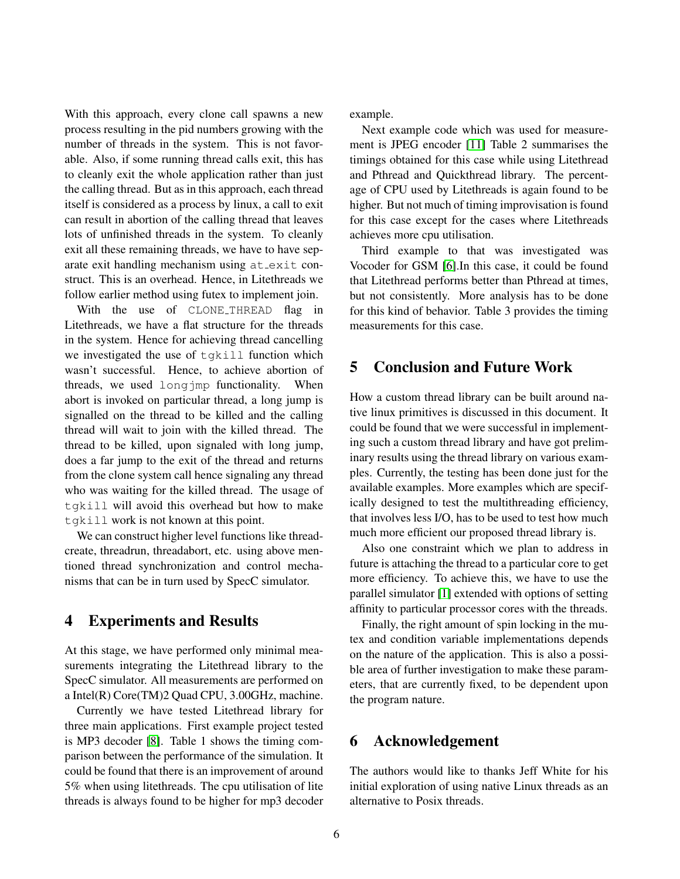With this approach, every clone call spawns a new process resulting in the pid numbers growing with the number of threads in the system. This is not favorable. Also, if some running thread calls exit, this has to cleanly exit the whole application rather than just the calling thread. But as in this approach, each thread itself is considered as a process by linux, a call to exit can result in abortion of the calling thread that leaves lots of unfinished threads in the system. To cleanly exit all these remaining threads, we have to have separate exit handling mechanism using  $at$ <sub>exit</sub> construct. This is an overhead. Hence, in Litethreads we follow earlier method using futex to implement join.

With the use of CLONE\_THREAD flag in Litethreads, we have a flat structure for the threads in the system. Hence for achieving thread cancelling we investigated the use of tgkill function which wasn't successful. Hence, to achieve abortion of threads, we used longjmp functionality. When abort is invoked on particular thread, a long jump is signalled on the thread to be killed and the calling thread will wait to join with the killed thread. The thread to be killed, upon signaled with long jump, does a far jump to the exit of the thread and returns from the clone system call hence signaling any thread who was waiting for the killed thread. The usage of tgkill will avoid this overhead but how to make tgkill work is not known at this point.

We can construct higher level functions like threadcreate, threadrun, threadabort, etc. using above mentioned thread synchronization and control mechanisms that can be in turn used by SpecC simulator.

### <span id="page-11-0"></span>4 Experiments and Results

At this stage, we have performed only minimal measurements integrating the Litethread library to the SpecC simulator. All measurements are performed on a Intel(R) Core(TM)2 Quad CPU, 3.00GHz, machine.

Currently we have tested Litethread library for three main applications. First example project tested is MP3 decoder [\[8\]](#page-12-7). Table 1 shows the timing comparison between the performance of the simulation. It could be found that there is an improvement of around 5% when using litethreads. The cpu utilisation of lite threads is always found to be higher for mp3 decoder example.

Next example code which was used for measurement is JPEG encoder [\[11\]](#page-13-1) Table 2 summarises the timings obtained for this case while using Litethread and Pthread and Quickthread library. The percentage of CPU used by Litethreads is again found to be higher. But not much of timing improvisation is found for this case except for the cases where Litethreads achieves more cpu utilisation.

Third example to that was investigated was Vocoder for GSM [\[6\]](#page-12-8).In this case, it could be found that Litethread performs better than Pthread at times, but not consistently. More analysis has to be done for this kind of behavior. Table 3 provides the timing measurements for this case.

### <span id="page-11-1"></span>5 Conclusion and Future Work

How a custom thread library can be built around native linux primitives is discussed in this document. It could be found that we were successful in implementing such a custom thread library and have got preliminary results using the thread library on various examples. Currently, the testing has been done just for the available examples. More examples which are specifically designed to test the multithreading efficiency, that involves less I/O, has to be used to test how much much more efficient our proposed thread library is.

Also one constraint which we plan to address in future is attaching the thread to a particular core to get more efficiency. To achieve this, we have to use the parallel simulator [\[1\]](#page-12-9) extended with options of setting affinity to particular processor cores with the threads.

Finally, the right amount of spin locking in the mutex and condition variable implementations depends on the nature of the application. This is also a possible area of further investigation to make these parameters, that are currently fixed, to be dependent upon the program nature.

## <span id="page-11-2"></span>6 Acknowledgement

The authors would like to thanks Jeff White for his initial exploration of using native Linux threads as an alternative to Posix threads.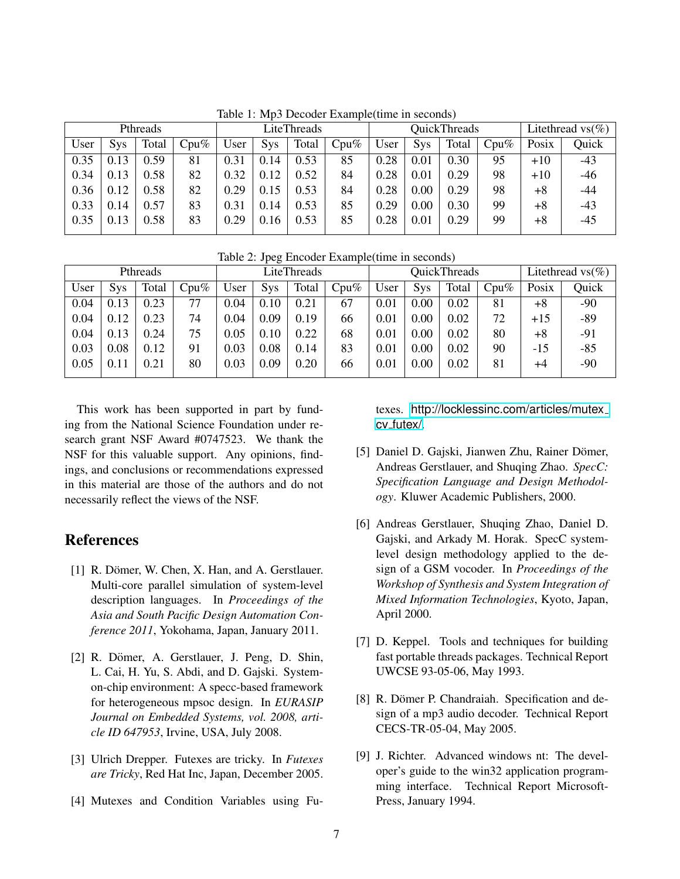|      |            | Pthreads |         | LiteThreads |            |       | QuickThreads |      |            |       | Litethread $\text{vs}(\%)$ |       |       |
|------|------------|----------|---------|-------------|------------|-------|--------------|------|------------|-------|----------------------------|-------|-------|
| User | <b>Sys</b> | Total    | $Cpu\%$ | User        | <b>Sys</b> | Total | $Cpu\%$      | User | <b>Sys</b> | Total | $Cpu\%$                    | Posix | Quick |
| 0.35 | 0.13       | 0.59     | 81      | 0.31        | 0.14       | 0.53  | 85           | 0.28 | 0.01       | 0.30  | 95                         | $+10$ | $-43$ |
| 0.34 | 0.13       | 0.58     | 82      | 0.32        | 0.12       | 0.52  | 84           | 0.28 | 0.01       | 0.29  | 98                         | $+10$ | -46   |
| 0.36 | 0.12       | 0.58     | 82      | 0.29        | 0.15       | 0.53  | 84           | 0.28 | 0.00       | 0.29  | 98                         | +8    | -44   |
| 0.33 | 14         | 0.57     | 83      | 0.31        | 0.14       | 0.53  | 85           | 0.29 | 0.00       | 0.30  | 99                         | +8    | $-43$ |
| 0.35 | 13         | 0.58     | 83      | 0.29        | 0.16       | 0.53  | 85           | 0.28 | 0.01       | 0.29  | 99                         | $+8$  | -45   |

Table 1: Mp3 Decoder Example(time in seconds)

Table 2: Jpeg Encoder Example(time in seconds)

|      |            | Pthreads |         | LiteThreads |          |       | <b>QuickThreads</b> |      |            |       | Litethread $\text{vs}(\%)$ |       |       |
|------|------------|----------|---------|-------------|----------|-------|---------------------|------|------------|-------|----------------------------|-------|-------|
| User | <b>Sys</b> | Total    | $Cpu\%$ | User        | Sys      | Total | $Cpu\%$             | User | <b>Sys</b> | Total | $Cpu\%$                    | Posix | Quick |
| 0.04 | 0.13       | 0.23     | 77      | 0.04        | $0.10\,$ | 0.21  | 67                  | 0.01 | 0.00       | 0.02  | 81                         | $+8$  | $-90$ |
| 0.04 | 0.12       | 0.23     | 74      | 0.04        | 0.09     | 0.19  | 66                  | 0.01 | 0.00       | 0.02  | 72                         | $+15$ | $-89$ |
| 0.04 | 0.13       | 0.24     | 75      | 0.05        | $0.10\,$ | 0.22  | 68                  | 0.01 | 0.00       | 0.02  | 80                         | $+8$  | $-91$ |
| 0.03 | 0.08       | 0.12     | 91      | 0.03        | 0.08     | 0.14  | 83                  | 0.01 | 0.00       | 0.02  | 90                         | $-15$ | $-85$ |
| 0.05 | 0.11       | 0.21     | 80      | 0.03        | 0.09     | 0.20  | 66                  | 0.01 | 0.00       | 0.02  | 81                         | +4    | $-90$ |
|      |            |          |         |             |          |       |                     |      |            |       |                            |       |       |

This work has been supported in part by funding from the National Science Foundation under research grant NSF Award #0747523. We thank the NSF for this valuable support. Any opinions, findings, and conclusions or recommendations expressed in this material are those of the authors and do not necessarily reflect the views of the NSF.

## <span id="page-12-0"></span>References

- <span id="page-12-9"></span> $[1]$  R. Dömer, W. Chen, X. Han, and A. Gerstlauer. Multi-core parallel simulation of system-level description languages. In *Proceedings of the Asia and South Pacific Design Automation Conference 2011*, Yokohama, Japan, January 2011.
- <span id="page-12-4"></span>[2] R. Dömer, A. Gerstlauer, J. Peng, D. Shin, L. Cai, H. Yu, S. Abdi, and D. Gajski. Systemon-chip environment: A specc-based framework for heterogeneous mpsoc design. In *EURASIP Journal on Embedded Systems, vol. 2008, article ID 647953*, Irvine, USA, July 2008.
- <span id="page-12-6"></span>[3] Ulrich Drepper. Futexes are tricky. In *Futexes are Tricky*, Red Hat Inc, Japan, December 2005.
- <span id="page-12-5"></span>[4] Mutexes and Condition Variables using Fu-

texes. [http://locklessinc.com/articles/mutex](http://locklessinc.com/articles/mutex_cv_futex/) cv [futex/](http://locklessinc.com/articles/mutex_cv_futex/).

- <span id="page-12-1"></span>[5] Daniel D. Gajski, Jianwen Zhu, Rainer Dömer, Andreas Gerstlauer, and Shuqing Zhao. *SpecC: Specification Language and Design Methodology*. Kluwer Academic Publishers, 2000.
- <span id="page-12-8"></span>[6] Andreas Gerstlauer, Shuqing Zhao, Daniel D. Gajski, and Arkady M. Horak. SpecC systemlevel design methodology applied to the design of a GSM vocoder. In *Proceedings of the Workshop of Synthesis and System Integration of Mixed Information Technologies*, Kyoto, Japan, April 2000.
- <span id="page-12-3"></span>[7] D. Keppel. Tools and techniques for building fast portable threads packages. Technical Report UWCSE 93-05-06, May 1993.
- <span id="page-12-7"></span>[8] R. Dömer P. Chandraiah. Specification and design of a mp3 audio decoder. Technical Report CECS-TR-05-04, May 2005.
- <span id="page-12-2"></span>[9] J. Richter. Advanced windows nt: The developer's guide to the win32 application programming interface. Technical Report Microsoft-Press, January 1994.